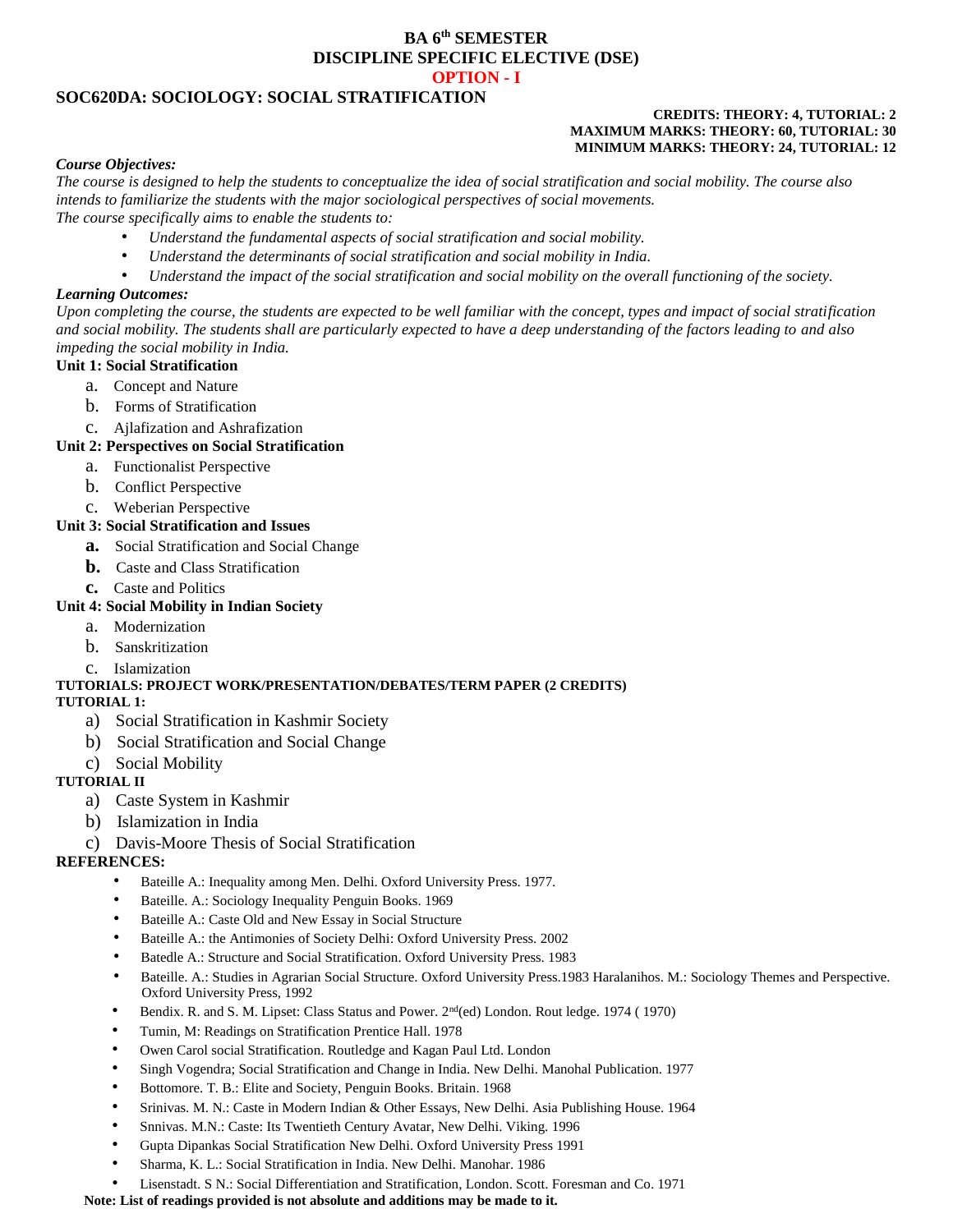## **BA 6th SEMESTER DISCIPLINE SPECIFIC ELECTIVE (DSE) OPTION - I**

## **SOC620DA: SOCIOLOGY: SOCIAL STRATIFICATION**

### **CREDITS: THEORY: 4, TUTORIAL: 2 MAXIMUM MARKS: THEORY: 60, TUTORIAL: 30 MINIMUM MARKS: THEORY: 24, TUTORIAL: 12**

### *Course Objectives:*

*The course is designed to help the students to conceptualize the idea of social stratification and social mobility. The course also intends to familiarize the students with the major sociological perspectives of social movements. The course specifically aims to enable the students to:*

- *Understand the fundamental aspects of social stratification and social mobility.*
- *Understand the determinants of social stratification and social mobility in India.*
- *Understand the impact of the social stratification and social mobility on the overall functioning of the society.*

### *Learning Outcomes:*

*Upon completing the course, the students are expected to be well familiar with the concept, types and impact of social stratification and social mobility. The students shall are particularly expected to have a deep understanding of the factors leading to and also impeding the social mobility in India.*

## **Unit 1: Social Stratification**

- a. Concept and Nature
- b. Forms of Stratification
- c. Ajlafization and Ashrafization

### **Unit 2: Perspectives on Social Stratification**

- a. Functionalist Perspective
- b. Conflict Perspective
- c. Weberian Perspective

### **Unit 3: Social Stratification and Issues**

- **a.** Social Stratification and Social Change
- **b.** Caste and Class Stratification
- **c.** Caste and Politics

## **Unit 4: Social Mobility in Indian Society**

- a. Modernization
- b. Sanskritization

### c. Islamization

## **TUTORIALS: PROJECT WORK/PRESENTATION/DEBATES/TERM PAPER (2 CREDITS)**

### **TUTORIAL 1:**

- a) Social Stratification in Kashmir Society
- b) Social Stratification and Social Change
- c) Social Mobility

## **TUTORIAL II**

- a) Caste System in Kashmir
- b) Islamization in India

## c) Davis-Moore Thesis of Social Stratification

## **REFERENCES:**

- Bateille A.: Inequality among Men. Delhi. Oxford University Press. 1977.
- Bateille. A.: Sociology Inequality Penguin Books. 1969
- Bateille A.: Caste Old and New Essay in Social Structure
- Bateille A.: the Antimonies of Society Delhi: Oxford University Press. 2002
- Batedle A.: Structure and Social Stratification. Oxford University Press. 1983
- Bateille. A.: Studies in Agrarian Social Structure. Oxford University Press.1983 Haralanihos. M.: Sociology Themes and Perspective. Oxford University Press, 1992
- Bendix. R. and S. M. Lipset: Class Status and Power. 2nd(ed) London. Rout ledge. 1974 ( 1970)
- Tumin, M: Readings on Stratification Prentice Hall. 1978
- Owen Carol social Stratification. Routledge and Kagan Paul Ltd. London
- Singh Vogendra; Social Stratification and Change in India. New Delhi. Manohal Publication. 1977
- Bottomore. T. B.: Elite and Society, Penguin Books. Britain. 1968
- Srinivas. M. N.: Caste in Modern Indian & Other Essays, New Delhi. Asia Publishing House. 1964
- Snnivas. M.N.: Caste: Its Twentieth Century Avatar, New Delhi. Viking. 1996
- Gupta Dipankas Social Stratification New Delhi. Oxford University Press 1991
- Sharma, K. L.: Social Stratification in India. New Delhi. Manohar. 1986
- Lisenstadt. S N.: Social Differentiation and Stratification, London. Scott. Foresman and Co. 1971

### **Note: List of readings provided is not absolute and additions may be made to it.**